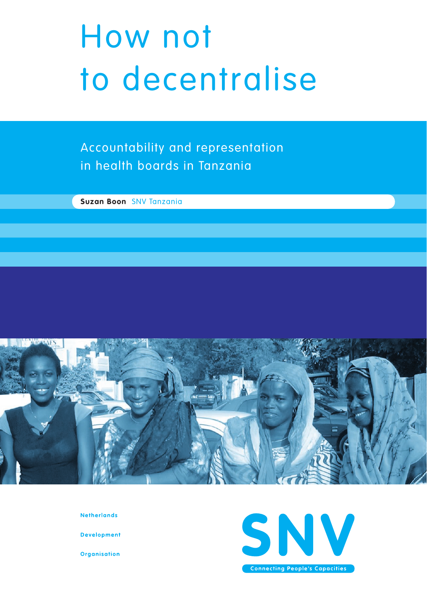# How not to decentralise

Accountability and representation in health boards in Tanzania

**Suzan Boon** SNV Tanzania



**Netherlands** 

**Development** 

**Organisation** 

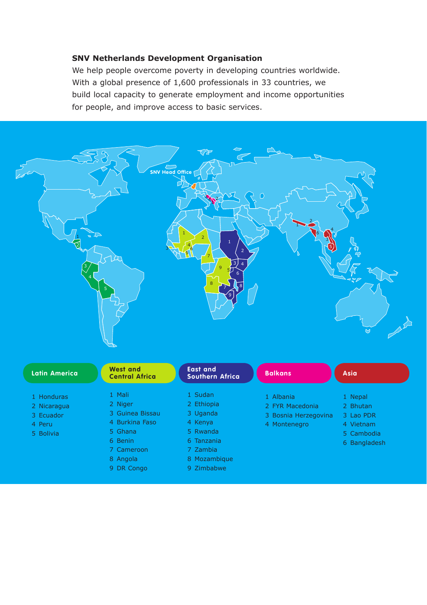#### **SNV Netherlands Development Organisation**

We help people overcome poverty in developing countries worldwide. With a global presence of 1,600 professionals in 33 countries, we build local capacity to generate employment and income opportunities for people, and improve access to basic services.

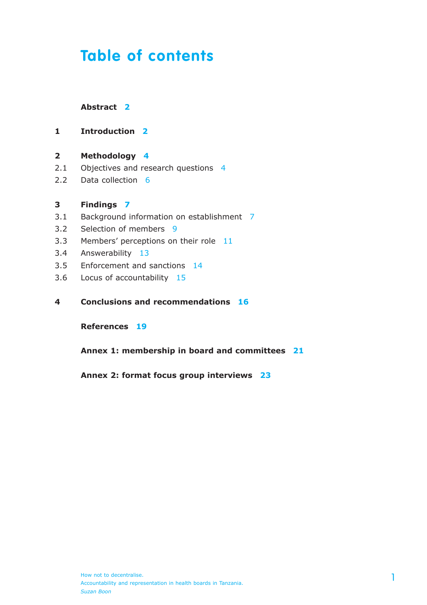### **Table of contents**

#### **Abstract 2**

- **1 Introduction 2**
- **2 Methodology 4**
- 2.1 Objectives and research questions 4
- 2.2 Data collection 6

#### **3 Findings 7**

- 3.1 Background information on establishment 7
- 3.2 Selection of members 9
- 3.3 Members' perceptions on their role 11
- 3.4 Answerability 13
- 3.5 Enforcement and sanctions 14
- 3.6 Locus of accountability 15
- **4 Conclusions and recommendations 16**

**References 19**

**Annex 1: membership in board and committees 21**

**Annex 2: format focus group interviews 23**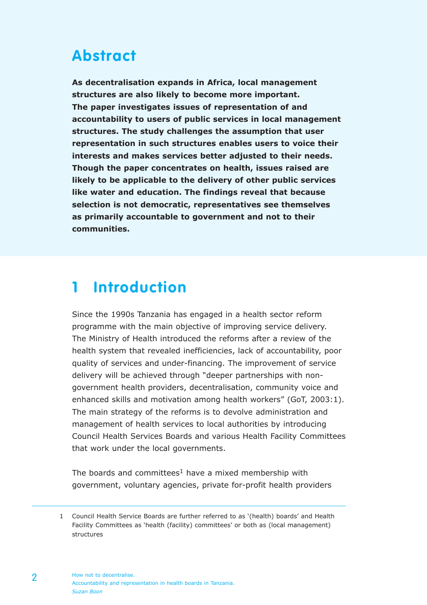### **Abstract**

**As decentralisation expands in Africa, local management structures are also likely to become more important. The paper investigates issues of representation of and accountability to users of public services in local management structures. The study challenges the assumption that user representation in such structures enables users to voice their interests and makes services better adjusted to their needs. Though the paper concentrates on health, issues raised are likely to be applicable to the delivery of other public services like water and education. The findings reveal that because selection is not democratic, representatives see themselves as primarily accountable to government and not to their communities.**

### **1 Introduction**

Since the 1990s Tanzania has engaged in a health sector reform programme with the main objective of improving service delivery. The Ministry of Health introduced the reforms after a review of the health system that revealed inefficiencies, lack of accountability, poor quality of services and under-financing. The improvement of service delivery will be achieved through "deeper partnerships with nongovernment health providers, decentralisation, community voice and enhanced skills and motivation among health workers" (GoT, 2003:1). The main strategy of the reforms is to devolve administration and management of health services to local authorities by introducing Council Health Services Boards and various Health Facility Committees that work under the local governments.

The boards and committees<sup>1</sup> have a mixed membership with government, voluntary agencies, private for-profit health providers

<sup>1</sup> Council Health Service Boards are further referred to as '(health) boards' and Health Facility Committees as 'health (facility) committees' or both as (local management) structures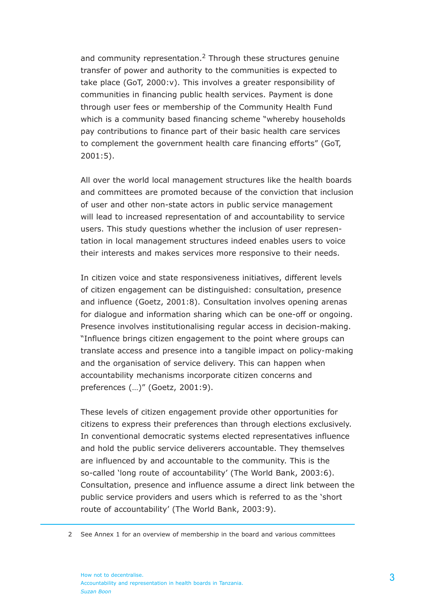and community representation.<sup>2</sup> Through these structures genuine transfer of power and authority to the communities is expected to take place (GoT, 2000:v). This involves a greater responsibility of communities in financing public health services. Payment is done through user fees or membership of the Community Health Fund which is a community based financing scheme "whereby households pay contributions to finance part of their basic health care services to complement the government health care financing efforts" (GoT, 2001:5).

All over the world local management structures like the health boards and committees are promoted because of the conviction that inclusion of user and other non-state actors in public service management will lead to increased representation of and accountability to service users. This study questions whether the inclusion of user representation in local management structures indeed enables users to voice their interests and makes services more responsive to their needs.

In citizen voice and state responsiveness initiatives, different levels of citizen engagement can be distinguished: consultation, presence and influence (Goetz, 2001:8). Consultation involves opening arenas for dialogue and information sharing which can be one-off or ongoing. Presence involves institutionalising regular access in decision-making. "Influence brings citizen engagement to the point where groups can translate access and presence into a tangible impact on policy-making and the organisation of service delivery. This can happen when accountability mechanisms incorporate citizen concerns and preferences (…)" (Goetz, 2001:9).

These levels of citizen engagement provide other opportunities for citizens to express their preferences than through elections exclusively. In conventional democratic systems elected representatives influence and hold the public service deliverers accountable. They themselves are influenced by and accountable to the community. This is the so-called 'long route of accountability' (The World Bank, 2003:6). Consultation, presence and influence assume a direct link between the public service providers and users which is referred to as the 'short route of accountability' (The World Bank, 2003:9).

<sup>2</sup> See Annex 1 for an overview of membership in the board and various committees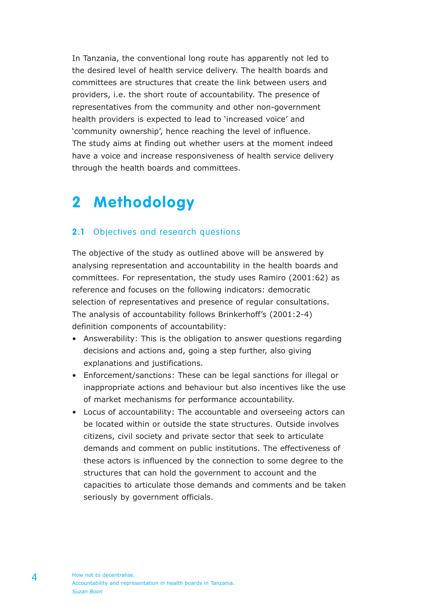In Tanzania, the conventional long route has apparently not led to the desired level of health service delivery. The health boards and committees are structures that create the link between users and providers, i.e. the short route of accountability. The presence of representatives from the community and other non-government health providers is expected to lead to 'increased voice' and 'community ownership', hence reaching the level of influence. The study aims at finding out whether users at the moment indeed have a voice and increase responsiveness of health service delivery through the health boards and committees.

### **2 Methodology**

#### **2.1** Objectives and research questions

The objective of the study as outlined above will be answered by analysing representation and accountability in the health boards and committees. For representation, the study uses Ramiro (2001:62) as reference and focuses on the following indicators: democratic selection of representatives and presence of regular consultations. The analysis of accountability follows Brinkerhoff's (2001:2-4) definition components of accountability:

- Answerability: This is the obligation to answer questions regarding decisions and actions and, going a step further, also giving explanations and justifications.
- Enforcement/sanctions: These can be legal sanctions for illegal or inappropriate actions and behaviour but also incentives like the use of market mechanisms for performance accountability.
- Locus of accountability: The accountable and overseeing actors can be located within or outside the state structures. Outside involves citizens, civil society and private sector that seek to articulate demands and comment on public institutions. The effectiveness of these actors is influenced by the connection to some degree to the structures that can hold the government to account and the capacities to articulate those demands and comments and be taken seriously by government officials.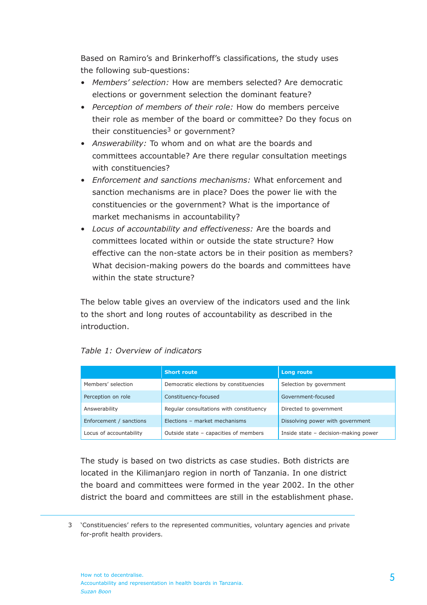Based on Ramiro's and Brinkerhoff's classifications, the study uses the following sub-questions:

- *Members' selection:* How are members selected? Are democratic elections or government selection the dominant feature?
- *Perception of members of their role:* How do members perceive their role as member of the board or committee? Do they focus on their constituencies<sup>3</sup> or government?
- *Answerability:* To whom and on what are the boards and committees accountable? Are there regular consultation meetings with constituencies?
- *Enforcement and sanctions mechanisms:* What enforcement and sanction mechanisms are in place? Does the power lie with the constituencies or the government? What is the importance of market mechanisms in accountability?
- *Locus of accountability and effectiveness:* Are the boards and committees located within or outside the state structure? How effective can the non-state actors be in their position as members? What decision-making powers do the boards and committees have within the state structure?

The below table gives an overview of the indicators used and the link to the short and long routes of accountability as described in the introduction.

|                         | <b>Short route</b>                      | Long route                           |
|-------------------------|-----------------------------------------|--------------------------------------|
| Members' selection      | Democratic elections by constituencies  | Selection by government              |
| Perception on role      | Constituency-focused                    | Government-focused                   |
| Answerability           | Regular consultations with constituency | Directed to government               |
| Enforcement / sanctions | Elections - market mechanisms           | Dissolving power with government     |
| Locus of accountability | Outside state - capacities of members   | Inside state - decision-making power |

The study is based on two districts as case studies. Both districts are located in the Kilimanjaro region in north of Tanzania. In one district the board and committees were formed in the year 2002. In the other district the board and committees are still in the establishment phase.

<sup>3</sup> 'Constituencies' refers to the represented communities, voluntary agencies and private for-profit health providers.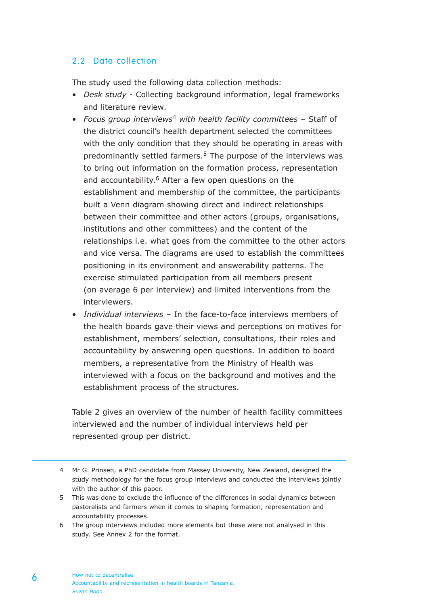#### 2.2 Data collection

The study used the following data collection methods:

- *Desk study* Collecting background information, legal frameworks and literature review.
- *Focus group interviews*4 *with health facility committees –* Staff of the district council's health department selected the committees with the only condition that they should be operating in areas with predominantly settled farmers. $5$  The purpose of the interviews was to bring out information on the formation process, representation and accountability.<sup>6</sup> After a few open questions on the establishment and membership of the committee, the participants built a Venn diagram showing direct and indirect relationships between their committee and other actors (groups, organisations, institutions and other committees) and the content of the relationships i.e. what goes from the committee to the other actors and vice versa. The diagrams are used to establish the committees positioning in its environment and answerability patterns. The exercise stimulated participation from all members present (on average 6 per interview) and limited interventions from the interviewers.
- *Individual interviews* In the face-to-face interviews members of the health boards gave their views and perceptions on motives for establishment, members' selection, consultations, their roles and accountability by answering open questions. In addition to board members, a representative from the Ministry of Health was interviewed with a focus on the background and motives and the establishment process of the structures.

Table 2 gives an overview of the number of health facility committees interviewed and the number of individual interviews held per represented group per district.

- 5 This was done to exclude the influence of the differences in social dynamics between pastoralists and farmers when it comes to shaping formation, representation and accountability processes.
- 6 The group interviews included more elements but these were not analysed in this study. See Annex 2 for the format.

<sup>4</sup> Mr G. Prinsen, a PhD candidate from Massey University, New Zealand, designed the study methodology for the focus group interviews and conducted the interviews jointly with the author of this paper.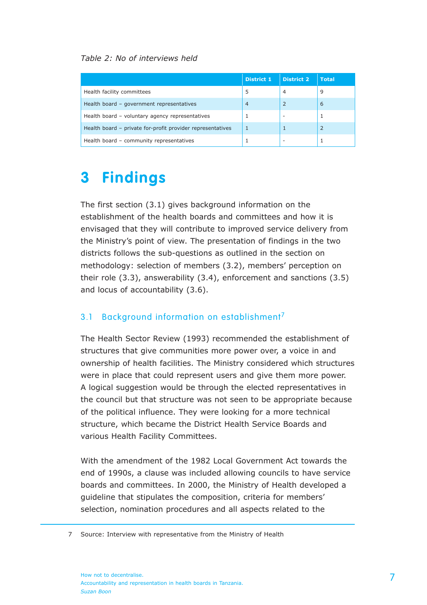#### *Table 2: No of interviews held*

|                                                            | <b>District 1</b> | <b>District 2</b> | <b>Total</b>             |
|------------------------------------------------------------|-------------------|-------------------|--------------------------|
| Health facility committees                                 |                   | 4                 | 9                        |
| Health board - government representatives                  |                   |                   | 6                        |
| Health board - voluntary agency representatives            |                   | -                 |                          |
| Health board - private for-profit provider representatives |                   |                   | $\overline{\phantom{0}}$ |
| Health board - community representatives                   |                   | -                 |                          |

### **3 Findings**

The first section (3.1) gives background information on the establishment of the health boards and committees and how it is envisaged that they will contribute to improved service delivery from the Ministry's point of view. The presentation of findings in the two districts follows the sub-questions as outlined in the section on methodology: selection of members (3.2), members' perception on their role (3.3), answerability (3.4), enforcement and sanctions (3.5) and locus of accountability (3.6).

#### 3.1 Background information on establishment<sup>7</sup>

The Health Sector Review (1993) recommended the establishment of structures that give communities more power over, a voice in and ownership of health facilities. The Ministry considered which structures were in place that could represent users and give them more power. A logical suggestion would be through the elected representatives in the council but that structure was not seen to be appropriate because of the political influence. They were looking for a more technical structure, which became the District Health Service Boards and various Health Facility Committees.

With the amendment of the 1982 Local Government Act towards the end of 1990s, a clause was included allowing councils to have service boards and committees. In 2000, the Ministry of Health developed a guideline that stipulates the composition, criteria for members' selection, nomination procedures and all aspects related to the

<sup>7</sup> Source: Interview with representative from the Ministry of Health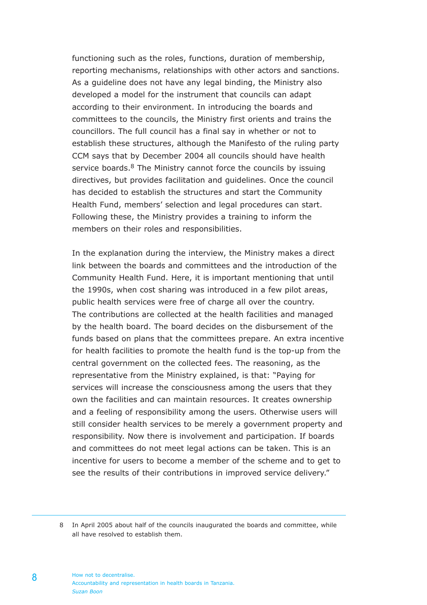functioning such as the roles, functions, duration of membership, reporting mechanisms, relationships with other actors and sanctions. As a guideline does not have any legal binding, the Ministry also developed a model for the instrument that councils can adapt according to their environment. In introducing the boards and committees to the councils, the Ministry first orients and trains the councillors. The full council has a final say in whether or not to establish these structures, although the Manifesto of the ruling party CCM says that by December 2004 all councils should have health service boards.<sup>8</sup> The Ministry cannot force the councils by issuing directives, but provides facilitation and guidelines. Once the council has decided to establish the structures and start the Community Health Fund, members' selection and legal procedures can start. Following these, the Ministry provides a training to inform the members on their roles and responsibilities.

In the explanation during the interview, the Ministry makes a direct link between the boards and committees and the introduction of the Community Health Fund. Here, it is important mentioning that until the 1990s, when cost sharing was introduced in a few pilot areas, public health services were free of charge all over the country. The contributions are collected at the health facilities and managed by the health board. The board decides on the disbursement of the funds based on plans that the committees prepare. An extra incentive for health facilities to promote the health fund is the top-up from the central government on the collected fees. The reasoning, as the representative from the Ministry explained, is that: "Paying for services will increase the consciousness among the users that they own the facilities and can maintain resources. It creates ownership and a feeling of responsibility among the users. Otherwise users will still consider health services to be merely a government property and responsibility. Now there is involvement and participation. If boards and committees do not meet legal actions can be taken. This is an incentive for users to become a member of the scheme and to get to see the results of their contributions in improved service delivery."

<sup>8</sup> In April 2005 about half of the councils inaugurated the boards and committee, while all have resolved to establish them.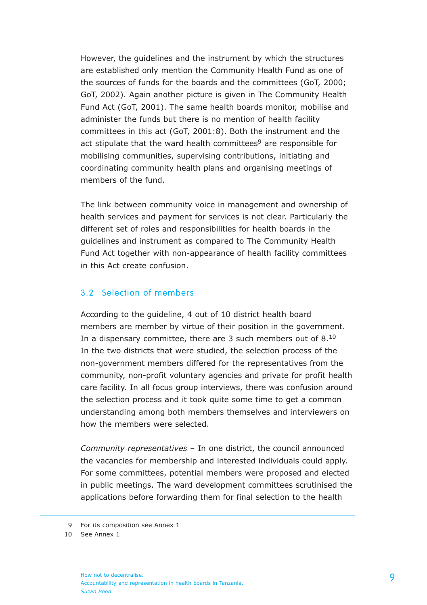However, the guidelines and the instrument by which the structures are established only mention the Community Health Fund as one of the sources of funds for the boards and the committees (GoT, 2000; GoT, 2002). Again another picture is given in The Community Health Fund Act (GoT, 2001). The same health boards monitor, mobilise and administer the funds but there is no mention of health facility committees in this act (GoT, 2001:8). Both the instrument and the act stipulate that the ward health committees<sup>9</sup> are responsible for mobilising communities, supervising contributions, initiating and coordinating community health plans and organising meetings of members of the fund.

The link between community voice in management and ownership of health services and payment for services is not clear. Particularly the different set of roles and responsibilities for health boards in the guidelines and instrument as compared to The Community Health Fund Act together with non-appearance of health facility committees in this Act create confusion.

#### 3.2 Selection of members

According to the guideline, 4 out of 10 district health board members are member by virtue of their position in the government. In a dispensary committee, there are 3 such members out of 8.<sup>10</sup> In the two districts that were studied, the selection process of the non-government members differed for the representatives from the community, non-profit voluntary agencies and private for profit health care facility. In all focus group interviews, there was confusion around the selection process and it took quite some time to get a common understanding among both members themselves and interviewers on how the members were selected.

*Community representatives* – In one district, the council announced the vacancies for membership and interested individuals could apply. For some committees, potential members were proposed and elected in public meetings. The ward development committees scrutinised the applications before forwarding them for final selection to the health

How not to decentralise. Accountability and representation in health boards in Tanzania. *Suzan Boon*

<sup>9</sup> For its composition see Annex 1

<sup>10</sup> See Annex 1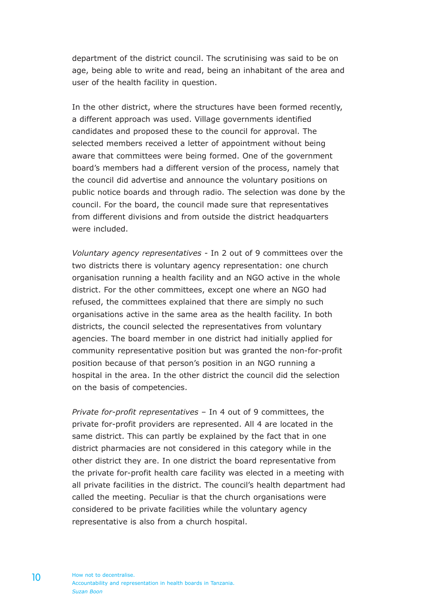department of the district council. The scrutinising was said to be on age, being able to write and read, being an inhabitant of the area and user of the health facility in question.

In the other district, where the structures have been formed recently, a different approach was used. Village governments identified candidates and proposed these to the council for approval. The selected members received a letter of appointment without being aware that committees were being formed. One of the government board's members had a different version of the process, namely that the council did advertise and announce the voluntary positions on public notice boards and through radio. The selection was done by the council. For the board, the council made sure that representatives from different divisions and from outside the district headquarters were included.

*Voluntary agency representatives* - In 2 out of 9 committees over the two districts there is voluntary agency representation: one church organisation running a health facility and an NGO active in the whole district. For the other committees, except one where an NGO had refused, the committees explained that there are simply no such organisations active in the same area as the health facility. In both districts, the council selected the representatives from voluntary agencies. The board member in one district had initially applied for community representative position but was granted the non-for-profit position because of that person's position in an NGO running a hospital in the area. In the other district the council did the selection on the basis of competencies.

*Private for-profit representatives* – In 4 out of 9 committees, the private for-profit providers are represented. All 4 are located in the same district. This can partly be explained by the fact that in one district pharmacies are not considered in this category while in the other district they are. In one district the board representative from the private for-profit health care facility was elected in a meeting with all private facilities in the district. The council's health department had called the meeting. Peculiar is that the church organisations were considered to be private facilities while the voluntary agency representative is also from a church hospital.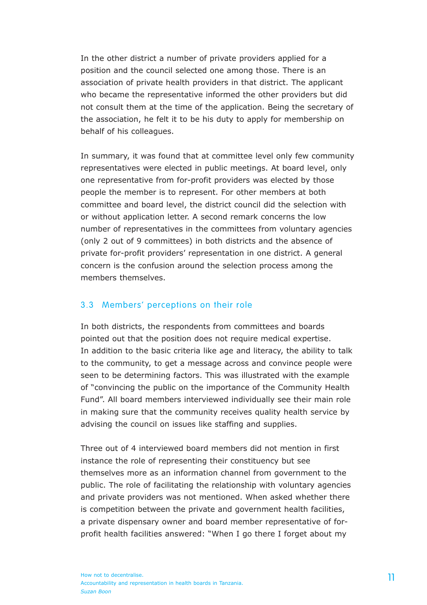In the other district a number of private providers applied for a position and the council selected one among those. There is an association of private health providers in that district. The applicant who became the representative informed the other providers but did not consult them at the time of the application. Being the secretary of the association, he felt it to be his duty to apply for membership on behalf of his colleagues.

In summary, it was found that at committee level only few community representatives were elected in public meetings. At board level, only one representative from for-profit providers was elected by those people the member is to represent. For other members at both committee and board level, the district council did the selection with or without application letter. A second remark concerns the low number of representatives in the committees from voluntary agencies (only 2 out of 9 committees) in both districts and the absence of private for-profit providers' representation in one district. A general concern is the confusion around the selection process among the members themselves.

#### 3.3 Members' perceptions on their role

In both districts, the respondents from committees and boards pointed out that the position does not require medical expertise. In addition to the basic criteria like age and literacy, the ability to talk to the community, to get a message across and convince people were seen to be determining factors. This was illustrated with the example of "convincing the public on the importance of the Community Health Fund". All board members interviewed individually see their main role in making sure that the community receives quality health service by advising the council on issues like staffing and supplies.

Three out of 4 interviewed board members did not mention in first instance the role of representing their constituency but see themselves more as an information channel from government to the public. The role of facilitating the relationship with voluntary agencies and private providers was not mentioned. When asked whether there is competition between the private and government health facilities, a private dispensary owner and board member representative of forprofit health facilities answered: "When I go there I forget about my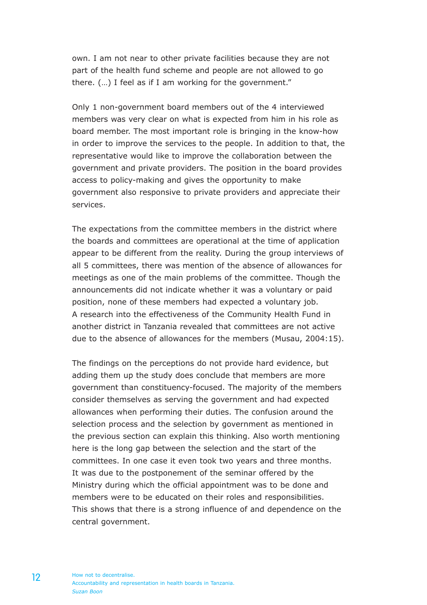own. I am not near to other private facilities because they are not part of the health fund scheme and people are not allowed to go there. (…) I feel as if I am working for the government."

Only 1 non-government board members out of the 4 interviewed members was very clear on what is expected from him in his role as board member. The most important role is bringing in the know-how in order to improve the services to the people. In addition to that, the representative would like to improve the collaboration between the government and private providers. The position in the board provides access to policy-making and gives the opportunity to make government also responsive to private providers and appreciate their services.

The expectations from the committee members in the district where the boards and committees are operational at the time of application appear to be different from the reality. During the group interviews of all 5 committees, there was mention of the absence of allowances for meetings as one of the main problems of the committee. Though the announcements did not indicate whether it was a voluntary or paid position, none of these members had expected a voluntary job. A research into the effectiveness of the Community Health Fund in another district in Tanzania revealed that committees are not active due to the absence of allowances for the members (Musau, 2004:15).

The findings on the perceptions do not provide hard evidence, but adding them up the study does conclude that members are more government than constituency-focused. The majority of the members consider themselves as serving the government and had expected allowances when performing their duties. The confusion around the selection process and the selection by government as mentioned in the previous section can explain this thinking. Also worth mentioning here is the long gap between the selection and the start of the committees. In one case it even took two years and three months. It was due to the postponement of the seminar offered by the Ministry during which the official appointment was to be done and members were to be educated on their roles and responsibilities. This shows that there is a strong influence of and dependence on the central government.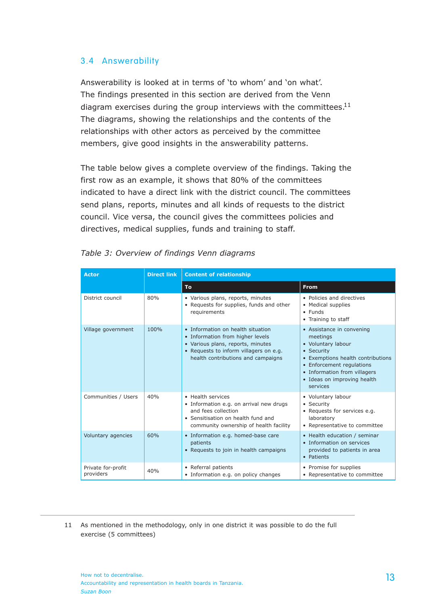#### 3.4 Answerability

Answerability is looked at in terms of 'to whom' and 'on what'. The findings presented in this section are derived from the Venn diagram exercises during the group interviews with the committees. $11$ The diagrams, showing the relationships and the contents of the relationships with other actors as perceived by the committee members, give good insights in the answerability patterns.

The table below gives a complete overview of the findings. Taking the first row as an example, it shows that 80% of the committees indicated to have a direct link with the district council. The committees send plans, reports, minutes and all kinds of requests to the district council. Vice versa, the council gives the committees policies and directives, medical supplies, funds and training to staff.

| Actor                           | <b>Direct link</b> | <b>Content of relationship</b>                                                                                                                                                             |                                                                                                                                                                                                                        |  |
|---------------------------------|--------------------|--------------------------------------------------------------------------------------------------------------------------------------------------------------------------------------------|------------------------------------------------------------------------------------------------------------------------------------------------------------------------------------------------------------------------|--|
|                                 |                    | To:                                                                                                                                                                                        | <b>From</b>                                                                                                                                                                                                            |  |
| District council                | 80%                | · Various plans, reports, minutes<br>• Requests for supplies, funds and other<br>requirements                                                                                              | . Policies and directives<br>• Medical supplies<br>$\bullet$ Funds<br>• Training to staff                                                                                                                              |  |
| Village government              | 100%               | • Information on health situation<br>• Information from higher levels<br>· Various plans, reports, minutes<br>• Requests to inform villagers on e.g.<br>health contributions and campaigns | • Assistance in convening<br>meetings<br>• Voluntary labour<br>• Security<br>• Exemptions health contributions<br>• Enforcement regulations<br>• Information from villagers<br>· Ideas on improving health<br>services |  |
| Communities / Users             | 40%                | · Health services<br>· Information e.g. on arrival new drugs<br>and fees collection<br>• Sensitisation on health fund and<br>community ownership of health facility                        | · Voluntary labour<br>• Security<br>• Requests for services e.g.<br>laboratory<br>• Representative to committee                                                                                                        |  |
| Voluntary agencies              | 60%                | · Information e.g. homed-base care<br>patients<br>• Requests to join in health campaigns                                                                                                   | • Health education / seminar<br>• Information on services<br>provided to patients in area<br>• Patients                                                                                                                |  |
| Private for-profit<br>providers | 40%                | • Referral patients<br>• Information e.g. on policy changes                                                                                                                                | • Promise for supplies<br>• Representative to committee                                                                                                                                                                |  |

|  | Table 3: Overview of findings Venn diagrams |  |  |
|--|---------------------------------------------|--|--|
|  |                                             |  |  |

11 As mentioned in the methodology, only in one district it was possible to do the full exercise (5 committees)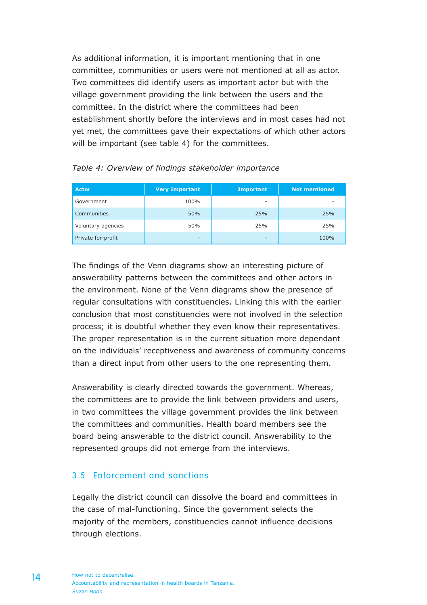As additional information, it is important mentioning that in one committee, communities or users were not mentioned at all as actor. Two committees did identify users as important actor but with the village government providing the link between the users and the committee. In the district where the committees had been establishment shortly before the interviews and in most cases had not yet met, the committees gave their expectations of which other actors will be important (see table 4) for the committees.

| Actor              | <b>Very Important</b> | <b>Important</b> | <b>Not mentioned</b> |
|--------------------|-----------------------|------------------|----------------------|
| Government         | 100%                  | ۰                | -                    |
| Communities        | 50%                   | 25%              | 25%                  |
| Voluntary agencies | 50%                   | 25%              | 25%                  |
| Private for-profit | -                     | ٠                | 100%                 |

| Table 4: Overview of findings stakeholder importance |  |  |  |  |
|------------------------------------------------------|--|--|--|--|
|------------------------------------------------------|--|--|--|--|

The findings of the Venn diagrams show an interesting picture of answerability patterns between the committees and other actors in the environment. None of the Venn diagrams show the presence of regular consultations with constituencies. Linking this with the earlier conclusion that most constituencies were not involved in the selection process; it is doubtful whether they even know their representatives. The proper representation is in the current situation more dependant on the individuals' receptiveness and awareness of community concerns than a direct input from other users to the one representing them.

Answerability is clearly directed towards the government. Whereas, the committees are to provide the link between providers and users, in two committees the village government provides the link between the committees and communities. Health board members see the board being answerable to the district council. Answerability to the represented groups did not emerge from the interviews.

#### 3.5 Enforcement and sanctions

Legally the district council can dissolve the board and committees in the case of mal-functioning. Since the government selects the majority of the members, constituencies cannot influence decisions through elections.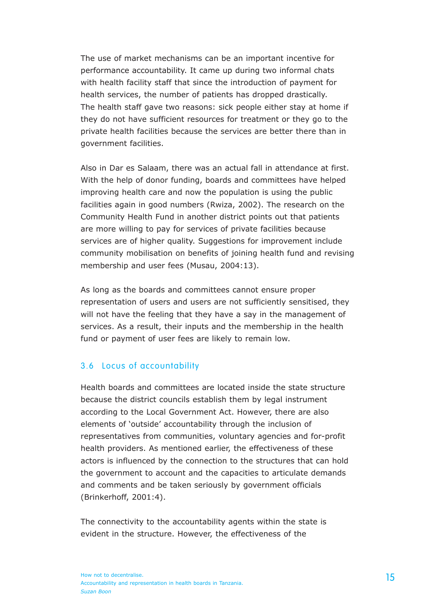The use of market mechanisms can be an important incentive for performance accountability. It came up during two informal chats with health facility staff that since the introduction of payment for health services, the number of patients has dropped drastically. The health staff gave two reasons: sick people either stay at home if they do not have sufficient resources for treatment or they go to the private health facilities because the services are better there than in government facilities.

Also in Dar es Salaam, there was an actual fall in attendance at first. With the help of donor funding, boards and committees have helped improving health care and now the population is using the public facilities again in good numbers (Rwiza, 2002). The research on the Community Health Fund in another district points out that patients are more willing to pay for services of private facilities because services are of higher quality. Suggestions for improvement include community mobilisation on benefits of joining health fund and revising membership and user fees (Musau, 2004:13).

As long as the boards and committees cannot ensure proper representation of users and users are not sufficiently sensitised, they will not have the feeling that they have a say in the management of services. As a result, their inputs and the membership in the health fund or payment of user fees are likely to remain low.

#### 3.6 Locus of accountability

Health boards and committees are located inside the state structure because the district councils establish them by legal instrument according to the Local Government Act. However, there are also elements of 'outside' accountability through the inclusion of representatives from communities, voluntary agencies and for-profit health providers. As mentioned earlier, the effectiveness of these actors is influenced by the connection to the structures that can hold the government to account and the capacities to articulate demands and comments and be taken seriously by government officials (Brinkerhoff, 2001:4).

The connectivity to the accountability agents within the state is evident in the structure. However, the effectiveness of the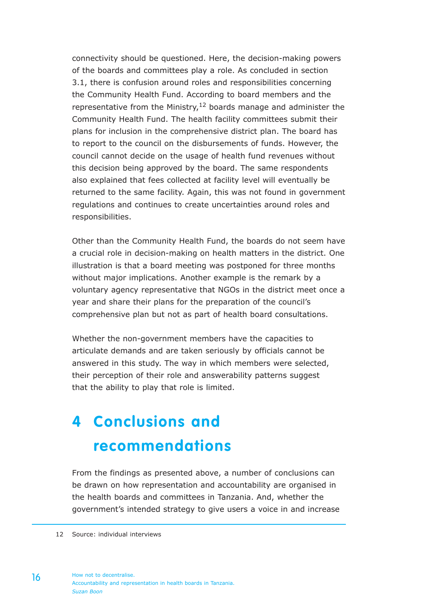connectivity should be questioned. Here, the decision-making powers of the boards and committees play a role. As concluded in section 3.1, there is confusion around roles and responsibilities concerning the Community Health Fund. According to board members and the representative from the Ministry,12 boards manage and administer the Community Health Fund. The health facility committees submit their plans for inclusion in the comprehensive district plan. The board has to report to the council on the disbursements of funds. However, the council cannot decide on the usage of health fund revenues without this decision being approved by the board. The same respondents also explained that fees collected at facility level will eventually be returned to the same facility. Again, this was not found in government regulations and continues to create uncertainties around roles and responsibilities.

Other than the Community Health Fund, the boards do not seem have a crucial role in decision-making on health matters in the district. One illustration is that a board meeting was postponed for three months without major implications. Another example is the remark by a voluntary agency representative that NGOs in the district meet once a year and share their plans for the preparation of the council's comprehensive plan but not as part of health board consultations.

Whether the non-government members have the capacities to articulate demands and are taken seriously by officials cannot be answered in this study. The way in which members were selected, their perception of their role and answerability patterns suggest that the ability to play that role is limited.

# **4 Conclusions and recommendations**

From the findings as presented above, a number of conclusions can be drawn on how representation and accountability are organised in the health boards and committees in Tanzania. And, whether the government's intended strategy to give users a voice in and increase

12 Source: individual interviews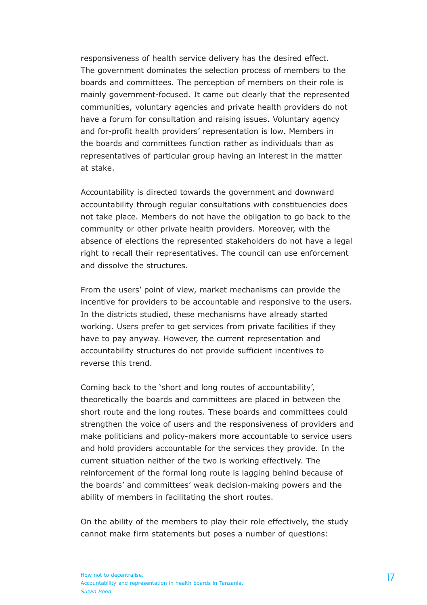responsiveness of health service delivery has the desired effect. The government dominates the selection process of members to the boards and committees. The perception of members on their role is mainly government-focused. It came out clearly that the represented communities, voluntary agencies and private health providers do not have a forum for consultation and raising issues. Voluntary agency and for-profit health providers' representation is low. Members in the boards and committees function rather as individuals than as representatives of particular group having an interest in the matter at stake.

Accountability is directed towards the government and downward accountability through regular consultations with constituencies does not take place. Members do not have the obligation to go back to the community or other private health providers. Moreover, with the absence of elections the represented stakeholders do not have a legal right to recall their representatives. The council can use enforcement and dissolve the structures.

From the users' point of view, market mechanisms can provide the incentive for providers to be accountable and responsive to the users. In the districts studied, these mechanisms have already started working. Users prefer to get services from private facilities if they have to pay anyway. However, the current representation and accountability structures do not provide sufficient incentives to reverse this trend.

Coming back to the 'short and long routes of accountability', theoretically the boards and committees are placed in between the short route and the long routes. These boards and committees could strengthen the voice of users and the responsiveness of providers and make politicians and policy-makers more accountable to service users and hold providers accountable for the services they provide. In the current situation neither of the two is working effectively. The reinforcement of the formal long route is lagging behind because of the boards' and committees' weak decision-making powers and the ability of members in facilitating the short routes.

On the ability of the members to play their role effectively, the study cannot make firm statements but poses a number of questions: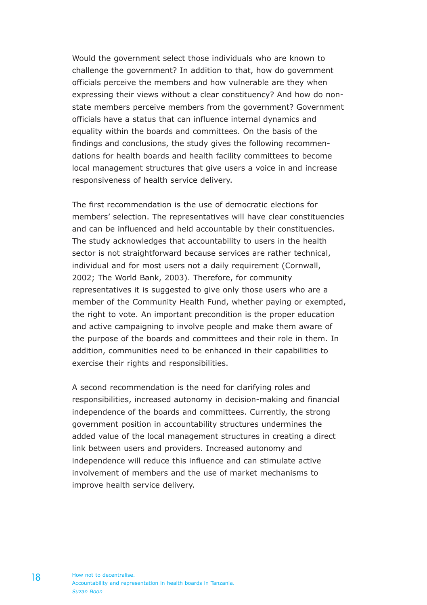Would the government select those individuals who are known to challenge the government? In addition to that, how do government officials perceive the members and how vulnerable are they when expressing their views without a clear constituency? And how do nonstate members perceive members from the government? Government officials have a status that can influence internal dynamics and equality within the boards and committees. On the basis of the findings and conclusions, the study gives the following recommendations for health boards and health facility committees to become local management structures that give users a voice in and increase responsiveness of health service delivery.

The first recommendation is the use of democratic elections for members' selection. The representatives will have clear constituencies and can be influenced and held accountable by their constituencies. The study acknowledges that accountability to users in the health sector is not straightforward because services are rather technical, individual and for most users not a daily requirement (Cornwall, 2002; The World Bank, 2003). Therefore, for community representatives it is suggested to give only those users who are a member of the Community Health Fund, whether paying or exempted, the right to vote. An important precondition is the proper education and active campaigning to involve people and make them aware of the purpose of the boards and committees and their role in them. In addition, communities need to be enhanced in their capabilities to exercise their rights and responsibilities.

A second recommendation is the need for clarifying roles and responsibilities, increased autonomy in decision-making and financial independence of the boards and committees. Currently, the strong government position in accountability structures undermines the added value of the local management structures in creating a direct link between users and providers. Increased autonomy and independence will reduce this influence and can stimulate active involvement of members and the use of market mechanisms to improve health service delivery.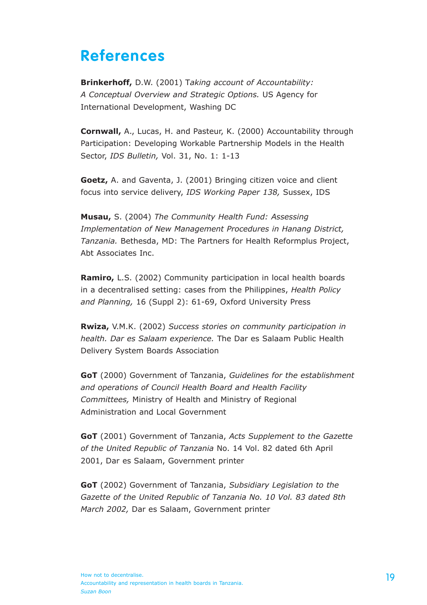### **References**

**Brinkerhoff,** D.W. (2001) T*aking account of Accountability: A Conceptual Overview and Strategic Options.* US Agency for International Development, Washing DC

**Cornwall,** A., Lucas, H. and Pasteur, K. (2000) Accountability through Participation: Developing Workable Partnership Models in the Health Sector, *IDS Bulletin,* Vol. 31, No. 1: 1-13

**Goetz,** A. and Gaventa, J. (2001) Bringing citizen voice and client focus into service delivery, *IDS Working Paper 138,* Sussex, IDS

**Musau,** S. (2004) *The Community Health Fund: Assessing Implementation of New Management Procedures in Hanang District, Tanzania.* Bethesda, MD: The Partners for Health Reformplus Project, Abt Associates Inc.

**Ramiro,** L.S. (2002) Community participation in local health boards in a decentralised setting: cases from the Philippines, *Health Policy and Planning,* 16 (Suppl 2): 61-69, Oxford University Press

**Rwiza,** V.M.K. (2002) *Success stories on community participation in health. Dar es Salaam experience.* The Dar es Salaam Public Health Delivery System Boards Association

**GoT** (2000) Government of Tanzania, *Guidelines for the establishment and operations of Council Health Board and Health Facility Committees,* Ministry of Health and Ministry of Regional Administration and Local Government

**GoT** (2001) Government of Tanzania, *Acts Supplement to the Gazette of the United Republic of Tanzania* No. 14 Vol. 82 dated 6th April 2001, Dar es Salaam, Government printer

**GoT** (2002) Government of Tanzania, *Subsidiary Legislation to the Gazette of the United Republic of Tanzania No. 10 Vol. 83 dated 8th March 2002,* Dar es Salaam, Government printer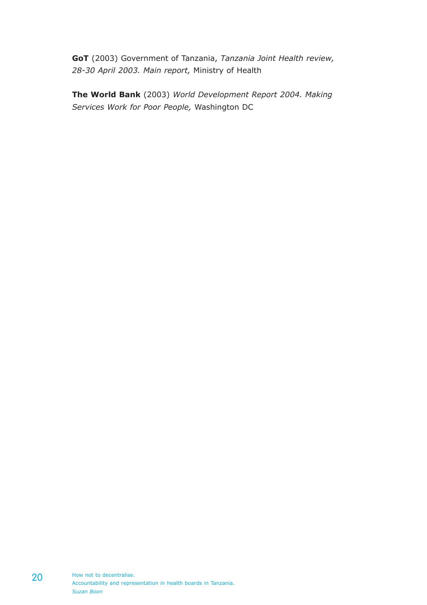**GoT** (2003) Government of Tanzania, *Tanzania Joint Health review, 28-30 April 2003. Main report,* Ministry of Health

**The World Bank** (2003) *World Development Report 2004. Making Services Work for Poor People,* Washington DC

How not to decentralise. Accountability and representation in health boards in Tanzania. *Suzan Boon*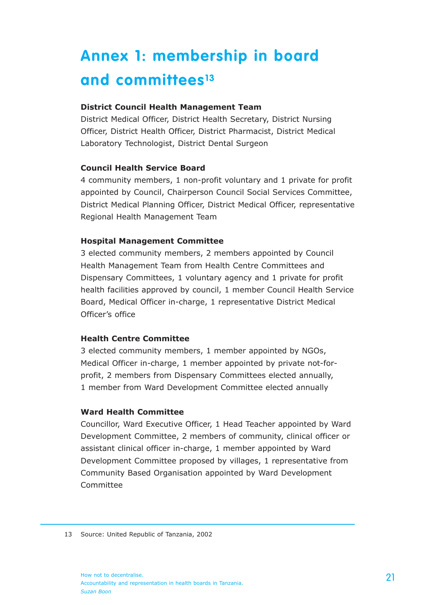# **Annex 1: membership in board and committees13**

#### **District Council Health Management Team**

District Medical Officer, District Health Secretary, District Nursing Officer, District Health Officer, District Pharmacist, District Medical Laboratory Technologist, District Dental Surgeon

#### **Council Health Service Board**

4 community members, 1 non-profit voluntary and 1 private for profit appointed by Council, Chairperson Council Social Services Committee, District Medical Planning Officer, District Medical Officer, representative Regional Health Management Team

#### **Hospital Management Committee**

3 elected community members, 2 members appointed by Council Health Management Team from Health Centre Committees and Dispensary Committees, 1 voluntary agency and 1 private for profit health facilities approved by council, 1 member Council Health Service Board, Medical Officer in-charge, 1 representative District Medical Officer's office

#### **Health Centre Committee**

3 elected community members, 1 member appointed by NGOs, Medical Officer in-charge, 1 member appointed by private not-forprofit, 2 members from Dispensary Committees elected annually, 1 member from Ward Development Committee elected annually

#### **Ward Health Committee**

Councillor, Ward Executive Officer, 1 Head Teacher appointed by Ward Development Committee, 2 members of community, clinical officer or assistant clinical officer in-charge, 1 member appointed by Ward Development Committee proposed by villages, 1 representative from Community Based Organisation appointed by Ward Development Committee

<sup>13</sup> Source: United Republic of Tanzania, 2002

How not to decentralise. Accountability and representation in health boards in Tanzania. *Suzan Boon*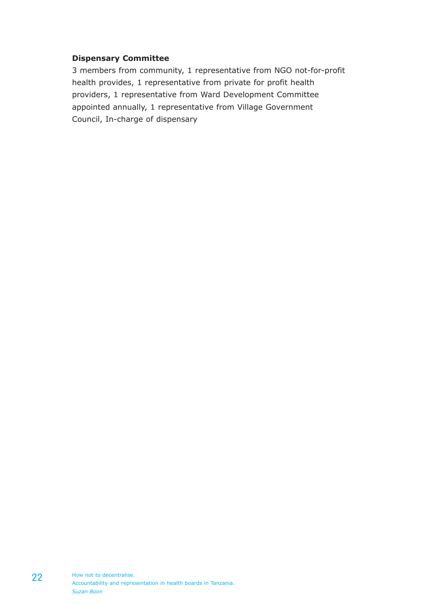#### **Dispensary Committee**

3 members from community, 1 representative from NGO not-for-profit health provides, 1 representative from private for profit health providers, 1 representative from Ward Development Committee appointed annually, 1 representative from Village Government Council, In-charge of dispensary

22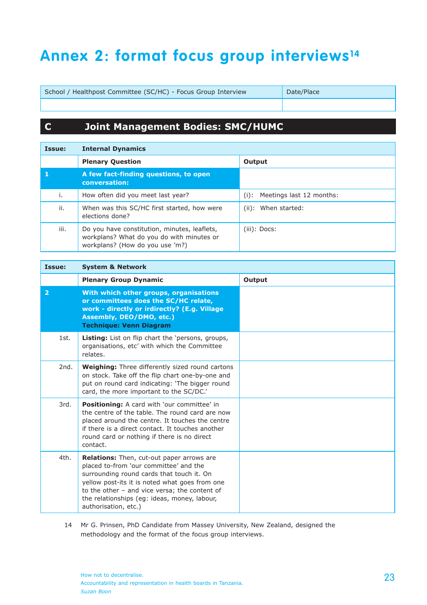## **Annex 2: format focus group interviews14**

School / Healthpost Committee (SC/HC) - Focus Group Interview Date/Place

#### **C Joint Management Bodies: SMC/HUMC**

| Issue: | <b>Internal Dynamics</b>                                                                                                     |                                     |  |  |  |
|--------|------------------------------------------------------------------------------------------------------------------------------|-------------------------------------|--|--|--|
|        | <b>Plenary Question</b>                                                                                                      | Output                              |  |  |  |
|        | A few fact-finding questions, to open<br>conversation:                                                                       |                                     |  |  |  |
| i.     | How often did you meet last year?                                                                                            | Meetings last 12 months:<br>$(i)$ : |  |  |  |
| ii.    | When was this SC/HC first started, how were<br>elections done?                                                               | (ii): When started:                 |  |  |  |
| iii.   | Do you have constitution, minutes, leaflets,<br>workplans? What do you do with minutes or<br>workplans? (How do you use 'm?) | (iii): Docs:                        |  |  |  |

| Issue:         | <b>System &amp; Network</b>                                                                                                                                                                                                                                                                                 |        |  |
|----------------|-------------------------------------------------------------------------------------------------------------------------------------------------------------------------------------------------------------------------------------------------------------------------------------------------------------|--------|--|
|                | <b>Plenary Group Dynamic</b>                                                                                                                                                                                                                                                                                | Output |  |
| $\overline{2}$ | With which other groups, organisations<br>or committees does the SC/HC relate,<br>work - directly or irdirectly? (E.g. Village<br>Assembly, DEO/DMO, etc.)<br><b>Technique: Venn Diagram</b>                                                                                                                |        |  |
| 1st.           | Listing: List on flip chart the 'persons, groups,<br>organisations, etc' with which the Committee<br>relates.                                                                                                                                                                                               |        |  |
| 2nd.           | <b>Weighing:</b> Three differently sized round cartons<br>on stock. Take off the flip chart one-by-one and<br>put on round card indicating: 'The bigger round<br>card, the more important to the SC/DC.'                                                                                                    |        |  |
| 3rd.           | Positioning: A card with 'our committee' in<br>the centre of the table. The round card are now<br>placed around the centre. It touches the centre<br>if there is a direct contact. It touches another<br>round card or nothing if there is no direct<br>contact.                                            |        |  |
| 4th.           | Relations: Then, cut-out paper arrows are<br>placed to-from 'our committee' and the<br>surrounding round cards that touch it. On<br>yellow post-its it is noted what goes from one<br>to the other - and vice versa; the content of<br>the relationships (eq: ideas, money, labour,<br>authorisation, etc.) |        |  |

14 Mr G. Prinsen, PhD Candidate from Massey University, New Zealand, designed the methodology and the format of the focus group interviews.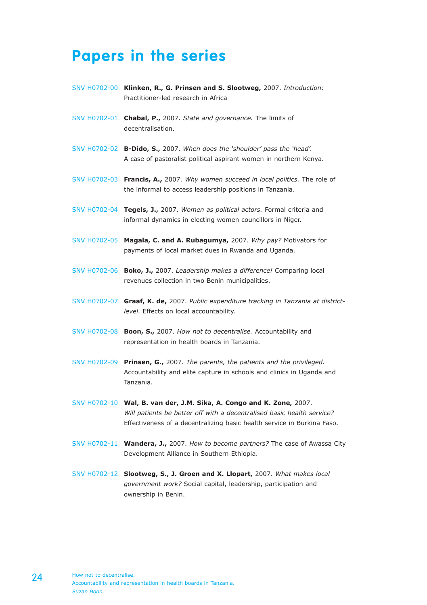### **Papers in the series**

- SNV H0702-00 **Klinken, R., G. Prinsen and S. Slootweg,** 2007. *Introduction:*  Practitioner-led research in Africa
- SNV H0702-01 **Chabal, P.,** 2007. *State and governance.* The limits of decentralisation.
- SNV H0702-02 **B-Dido, S.,** 2007. *When does the 'shoulder' pass the 'head'.* A case of pastoralist political aspirant women in northern Kenya.
- SNV H0702-03 **Francis, A.,** 2007. *Why women succeed in local politics.* The role of the informal to access leadership positions in Tanzania.
- SNV H0702-04 **Tegels, J.,** 2007. *Women as political actors.* Formal criteria and informal dynamics in electing women councillors in Niger.
- SNV H0702-05 **Magala, C. and A. Rubagumya,** 2007. *Why pay?* Motivators for payments of local market dues in Rwanda and Uganda.
- SNV H0702-06 **Boko, J.,** 2007. *Leadership makes a difference!* Comparing local revenues collection in two Benin municipalities.
- SNV H0702-07 **Graaf, K. de,** 2007. *Public expenditure tracking in Tanzania at districtlevel.* Effects on local accountability.
- SNV H0702-08 **Boon, S.,** 2007. *How not to decentralise.* Accountability and representation in health boards in Tanzania.
- SNV H0702-09 **Prinsen, G.,** 2007. *The parents, the patients and the privileged.* Accountability and elite capture in schools and clinics in Uganda and Tanzania.
- SNV H0702-10 **Wal, B. van der, J.M. Sika, A. Congo and K. Zone,** 2007. *Will patients be better off with a decentralised basic health service?* Effectiveness of a decentralizing basic health service in Burkina Faso.
- SNV H0702-11 **Wandera, J.,** 2007. *How to become partners?* The case of Awassa City Development Alliance in Southern Ethiopia.
- SNV H0702-12 **Slootweg, S., J. Groen and X. Llopart,** 2007. *What makes local government work?* Social capital, leadership, participation and ownership in Benin.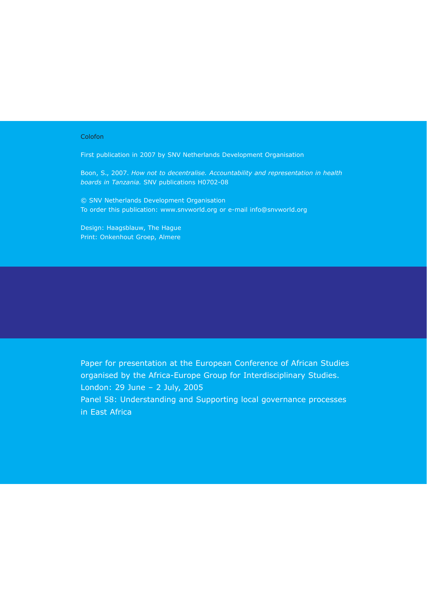#### Colofon

First publication in 2007 by SNV Netherlands Development Organisation

Boon, S., 2007. *How not to decentralise. Accountability and representation in health boards in Tanzania.* SNV publications H0702-08

© SNV Netherlands Development Organisation To order this publication: www.snvworld.org or e-mail info@snvworld.org

Design: Haagsblauw, The Hague Print: Onkenhout Groep, Almere

Paper for presentation at the European Conference of African Studies organised by the Africa-Europe Group for Interdisciplinary Studies. London: 29 June – 2 July, 2005

Panel 58: Understanding and Supporting local governance processes in East Africa